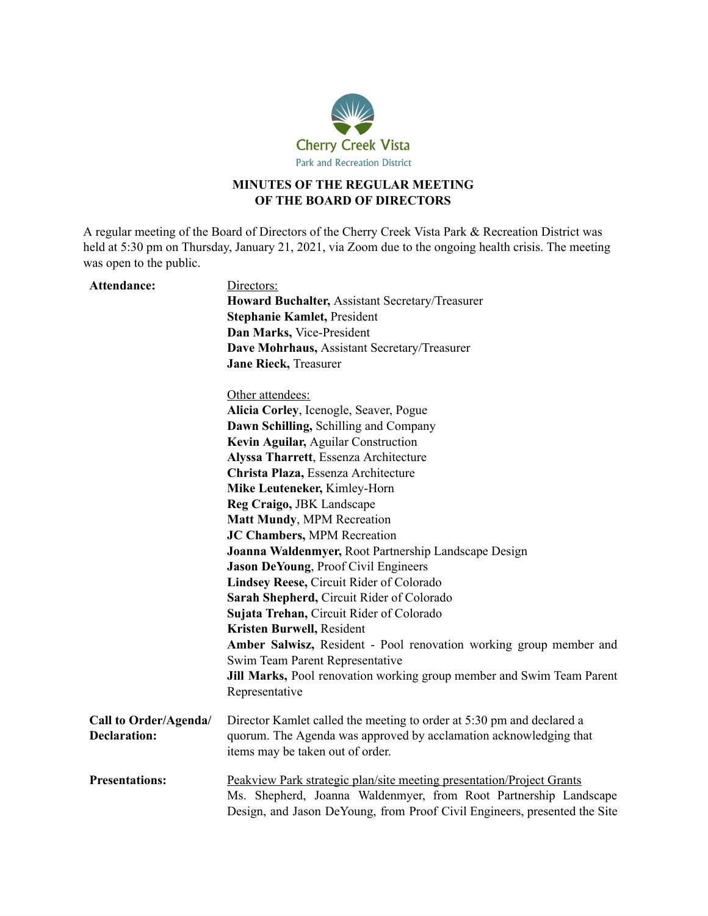

## **MINUTES OF THE REGULAR MEETING OF THE BOARD OF DIRECTORS**

A regular meeting of the Board of Directors of the Cherry Creek Vista Park & Recreation District was held at 5:30 pm on Thursday, January 21, 2021, via Zoom due to the ongoing health crisis. The meeting was open to the public.

| Attendance:           | Directors:                                                                                                                                                                                                             |
|-----------------------|------------------------------------------------------------------------------------------------------------------------------------------------------------------------------------------------------------------------|
|                       | Howard Buchalter, Assistant Secretary/Treasurer                                                                                                                                                                        |
|                       | <b>Stephanie Kamlet, President</b>                                                                                                                                                                                     |
|                       | Dan Marks, Vice-President                                                                                                                                                                                              |
|                       | Dave Mohrhaus, Assistant Secretary/Treasurer                                                                                                                                                                           |
|                       | <b>Jane Rieck, Treasurer</b>                                                                                                                                                                                           |
|                       | Other attendees:                                                                                                                                                                                                       |
|                       | Alicia Corley, Icenogle, Seaver, Pogue                                                                                                                                                                                 |
|                       | Dawn Schilling, Schilling and Company                                                                                                                                                                                  |
|                       | Kevin Aguilar, Aguilar Construction                                                                                                                                                                                    |
|                       | Alyssa Tharrett, Essenza Architecture                                                                                                                                                                                  |
|                       | Christa Plaza, Essenza Architecture                                                                                                                                                                                    |
|                       | Mike Leuteneker, Kimley-Horn                                                                                                                                                                                           |
|                       | Reg Craigo, JBK Landscape                                                                                                                                                                                              |
|                       | <b>Matt Mundy, MPM Recreation</b>                                                                                                                                                                                      |
|                       | JC Chambers, MPM Recreation                                                                                                                                                                                            |
|                       | Joanna Waldenmyer, Root Partnership Landscape Design                                                                                                                                                                   |
|                       | Jason DeYoung, Proof Civil Engineers                                                                                                                                                                                   |
|                       | Lindsey Reese, Circuit Rider of Colorado                                                                                                                                                                               |
|                       | Sarah Shepherd, Circuit Rider of Colorado                                                                                                                                                                              |
|                       | Sujata Trehan, Circuit Rider of Colorado                                                                                                                                                                               |
|                       | Kristen Burwell, Resident                                                                                                                                                                                              |
|                       | Amber Salwisz, Resident - Pool renovation working group member and                                                                                                                                                     |
|                       | Swim Team Parent Representative                                                                                                                                                                                        |
|                       | Jill Marks, Pool renovation working group member and Swim Team Parent                                                                                                                                                  |
|                       | Representative                                                                                                                                                                                                         |
| Call to Order/Agenda/ | Director Kamlet called the meeting to order at 5:30 pm and declared a                                                                                                                                                  |
| <b>Declaration:</b>   | quorum. The Agenda was approved by acclamation acknowledging that<br>items may be taken out of order.                                                                                                                  |
| <b>Presentations:</b> | Peakview Park strategic plan/site meeting presentation/Project Grants<br>Ms. Shepherd, Joanna Waldenmyer, from Root Partnership Landscape<br>Design, and Jason DeYoung, from Proof Civil Engineers, presented the Site |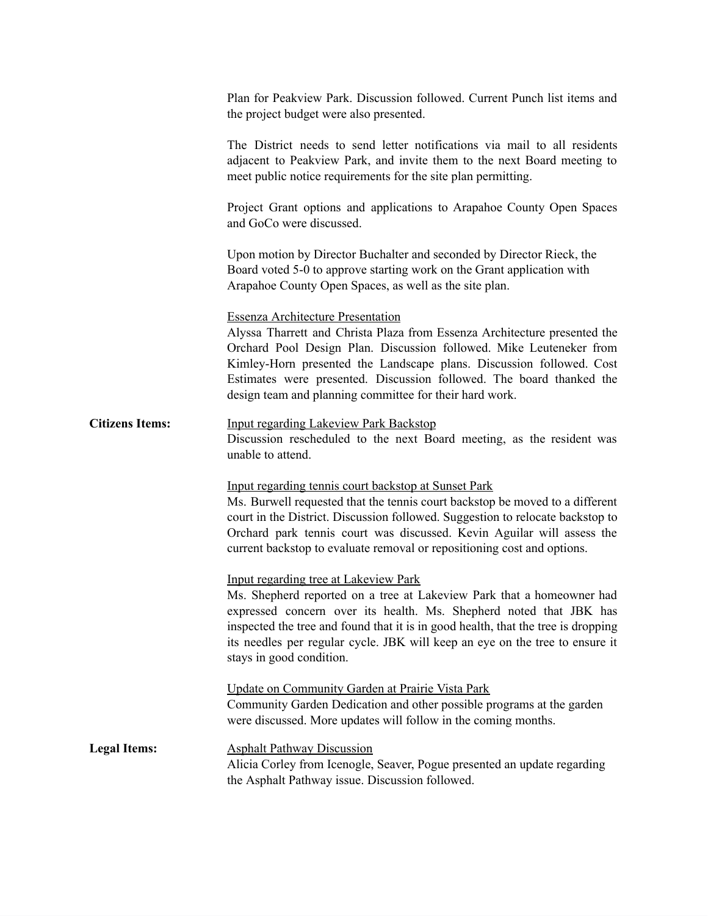|                        | Plan for Peakview Park. Discussion followed. Current Punch list items and<br>the project budget were also presented.                                                                                                                                                                                                                                                                                    |
|------------------------|---------------------------------------------------------------------------------------------------------------------------------------------------------------------------------------------------------------------------------------------------------------------------------------------------------------------------------------------------------------------------------------------------------|
|                        | The District needs to send letter notifications via mail to all residents<br>adjacent to Peakview Park, and invite them to the next Board meeting to<br>meet public notice requirements for the site plan permitting.                                                                                                                                                                                   |
|                        | Project Grant options and applications to Arapahoe County Open Spaces<br>and GoCo were discussed.                                                                                                                                                                                                                                                                                                       |
|                        | Upon motion by Director Buchalter and seconded by Director Rieck, the<br>Board voted 5-0 to approve starting work on the Grant application with<br>Arapahoe County Open Spaces, as well as the site plan.                                                                                                                                                                                               |
|                        | <b>Essenza Architecture Presentation</b><br>Alyssa Tharrett and Christa Plaza from Essenza Architecture presented the<br>Orchard Pool Design Plan. Discussion followed. Mike Leuteneker from<br>Kimley-Horn presented the Landscape plans. Discussion followed. Cost<br>Estimates were presented. Discussion followed. The board thanked the<br>design team and planning committee for their hard work. |
| <b>Citizens Items:</b> | <b>Input regarding Lakeview Park Backstop</b><br>Discussion rescheduled to the next Board meeting, as the resident was<br>unable to attend.                                                                                                                                                                                                                                                             |
|                        | Input regarding tennis court backstop at Sunset Park<br>Ms. Burwell requested that the tennis court backstop be moved to a different<br>court in the District. Discussion followed. Suggestion to relocate backstop to<br>Orchard park tennis court was discussed. Kevin Aguilar will assess the<br>current backstop to evaluate removal or repositioning cost and options.                             |
|                        | <b>Input regarding tree at Lakeview Park</b><br>Ms. Shepherd reported on a tree at Lakeview Park that a homeowner had<br>expressed concern over its health. Ms. Shepherd noted that JBK has<br>inspected the tree and found that it is in good health, that the tree is dropping<br>its needles per regular cycle. JBK will keep an eye on the tree to ensure it<br>stays in good condition.            |
|                        | Update on Community Garden at Prairie Vista Park<br>Community Garden Dedication and other possible programs at the garden<br>were discussed. More updates will follow in the coming months.                                                                                                                                                                                                             |
| <b>Legal Items:</b>    | <b>Asphalt Pathway Discussion</b><br>Alicia Corley from Icenogle, Seaver, Pogue presented an update regarding<br>the Asphalt Pathway issue. Discussion followed.                                                                                                                                                                                                                                        |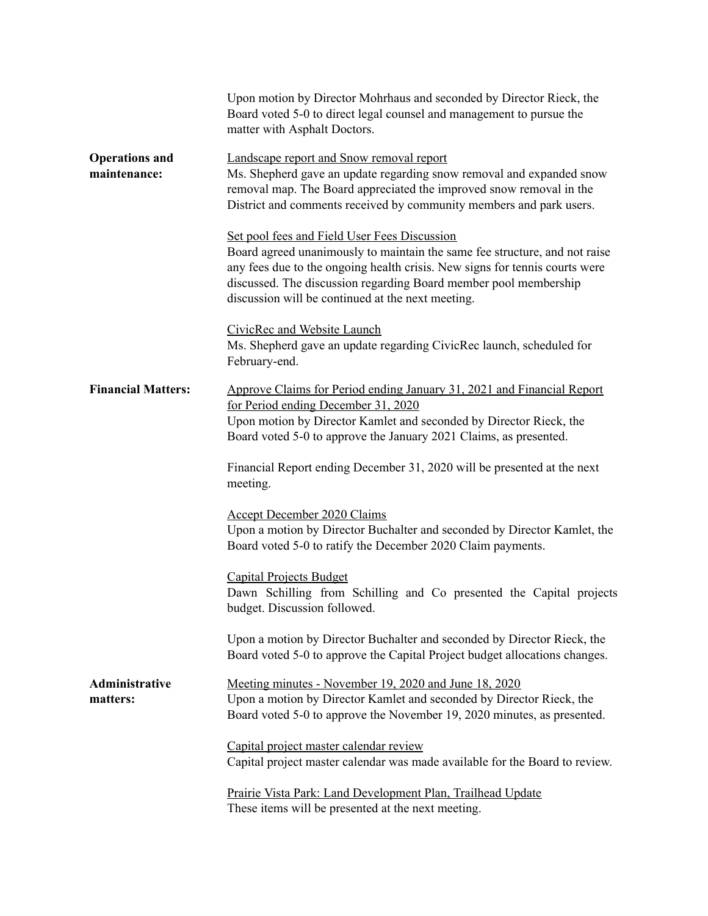|                                       | Upon motion by Director Mohrhaus and seconded by Director Rieck, the<br>Board voted 5-0 to direct legal counsel and management to pursue the<br>matter with Asphalt Doctors.                                                                                                                                                       |
|---------------------------------------|------------------------------------------------------------------------------------------------------------------------------------------------------------------------------------------------------------------------------------------------------------------------------------------------------------------------------------|
| <b>Operations and</b><br>maintenance: | Landscape report and Snow removal report<br>Ms. Shepherd gave an update regarding snow removal and expanded snow<br>removal map. The Board appreciated the improved snow removal in the<br>District and comments received by community members and park users.                                                                     |
|                                       | Set pool fees and Field User Fees Discussion<br>Board agreed unanimously to maintain the same fee structure, and not raise<br>any fees due to the ongoing health crisis. New signs for tennis courts were<br>discussed. The discussion regarding Board member pool membership<br>discussion will be continued at the next meeting. |
|                                       | CivicRec and Website Launch<br>Ms. Shepherd gave an update regarding CivicRec launch, scheduled for<br>February-end.                                                                                                                                                                                                               |
| <b>Financial Matters:</b>             | Approve Claims for Period ending January 31, 2021 and Financial Report<br>for Period ending December 31, 2020<br>Upon motion by Director Kamlet and seconded by Director Rieck, the<br>Board voted 5-0 to approve the January 2021 Claims, as presented.                                                                           |
|                                       | Financial Report ending December 31, 2020 will be presented at the next<br>meeting.                                                                                                                                                                                                                                                |
|                                       | <b>Accept December 2020 Claims</b><br>Upon a motion by Director Buchalter and seconded by Director Kamlet, the<br>Board voted 5-0 to ratify the December 2020 Claim payments.                                                                                                                                                      |
|                                       | <b>Capital Projects Budget</b><br>Dawn Schilling from Schilling and Co presented the Capital projects<br>budget. Discussion followed.                                                                                                                                                                                              |
|                                       | Upon a motion by Director Buchalter and seconded by Director Rieck, the<br>Board voted 5-0 to approve the Capital Project budget allocations changes.                                                                                                                                                                              |
| Administrative<br>matters:            | Meeting minutes - November 19, 2020 and June 18, 2020<br>Upon a motion by Director Kamlet and seconded by Director Rieck, the<br>Board voted 5-0 to approve the November 19, 2020 minutes, as presented.                                                                                                                           |
|                                       | Capital project master calendar review<br>Capital project master calendar was made available for the Board to review.                                                                                                                                                                                                              |
|                                       | Prairie Vista Park: Land Development Plan, Trailhead Update<br>These items will be presented at the next meeting.                                                                                                                                                                                                                  |